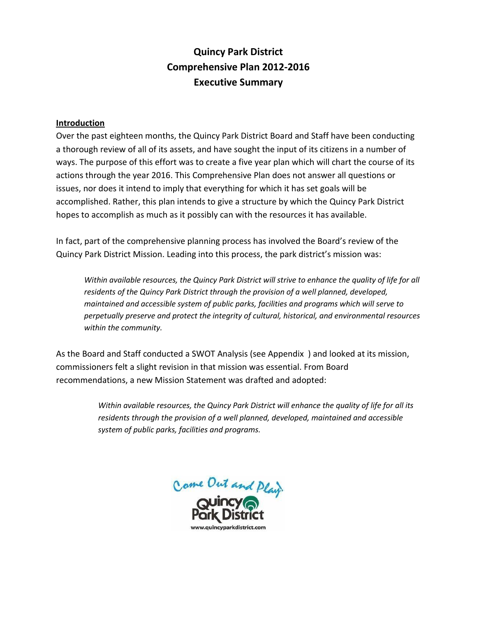# **Quincy Park District Comprehensive Plan 2012-2016 Executive Summary**

### **Introduction**

Over the past eighteen months, the Quincy Park District Board and Staff have been conducting a thorough review of all of its assets, and have sought the input of its citizens in a number of ways. The purpose of this effort was to create a five year plan which will chart the course of its actions through the year 2016. This Comprehensive Plan does not answer all questions or issues, nor does it intend to imply that everything for which it has set goals will be accomplished. Rather, this plan intends to give a structure by which the Quincy Park District hopes to accomplish as much as it possibly can with the resources it has available.

In fact, part of the comprehensive planning process has involved the Board's review of the Quincy Park District Mission. Leading into this process, the park district's mission was:

*Within available resources, the Quincy Park District will strive to enhance the quality of life for all residents of the Quincy Park District through the provision of a well planned, developed, maintained and accessible system of public parks, facilities and programs which will serve to perpetually preserve and protect the integrity of cultural, historical, and environmental resources within the community.*

As the Board and Staff conducted a SWOT Analysis (see Appendix ) and looked at its mission, commissioners felt a slight revision in that mission was essential. From Board recommendations, a new Mission Statement was drafted and adopted:

> *Within available resources, the Quincy Park District will enhance the quality of life for all its residents through the provision of a well planned, developed, maintained and accessible system of public parks, facilities and programs.*

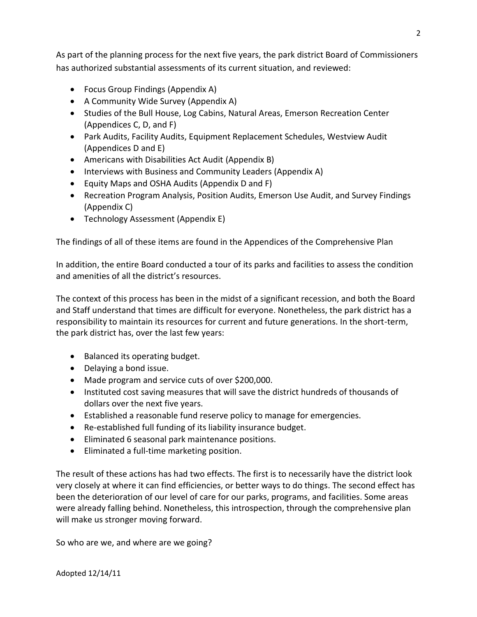As part of the planning process for the next five years, the park district Board of Commissioners has authorized substantial assessments of its current situation, and reviewed:

- Focus Group Findings (Appendix A)
- A Community Wide Survey (Appendix A)
- Studies of the Bull House, Log Cabins, Natural Areas, Emerson Recreation Center (Appendices C, D, and F)
- Park Audits, Facility Audits, Equipment Replacement Schedules, Westview Audit (Appendices D and E)
- Americans with Disabilities Act Audit (Appendix B)
- Interviews with Business and Community Leaders (Appendix A)
- Equity Maps and OSHA Audits (Appendix D and F)
- Recreation Program Analysis, Position Audits, Emerson Use Audit, and Survey Findings (Appendix C)
- Technology Assessment (Appendix E)

The findings of all of these items are found in the Appendices of the Comprehensive Plan

In addition, the entire Board conducted a tour of its parks and facilities to assess the condition and amenities of all the district's resources.

The context of this process has been in the midst of a significant recession, and both the Board and Staff understand that times are difficult for everyone. Nonetheless, the park district has a responsibility to maintain its resources for current and future generations. In the short-term, the park district has, over the last few years:

- Balanced its operating budget.
- Delaying a bond issue.
- Made program and service cuts of over \$200,000.
- Instituted cost saving measures that will save the district hundreds of thousands of dollars over the next five years.
- Established a reasonable fund reserve policy to manage for emergencies.
- Re-established full funding of its liability insurance budget.
- Eliminated 6 seasonal park maintenance positions.
- Eliminated a full-time marketing position.

The result of these actions has had two effects. The first is to necessarily have the district look very closely at where it can find efficiencies, or better ways to do things. The second effect has been the deterioration of our level of care for our parks, programs, and facilities. Some areas were already falling behind. Nonetheless, this introspection, through the comprehensive plan will make us stronger moving forward.

So who are we, and where are we going?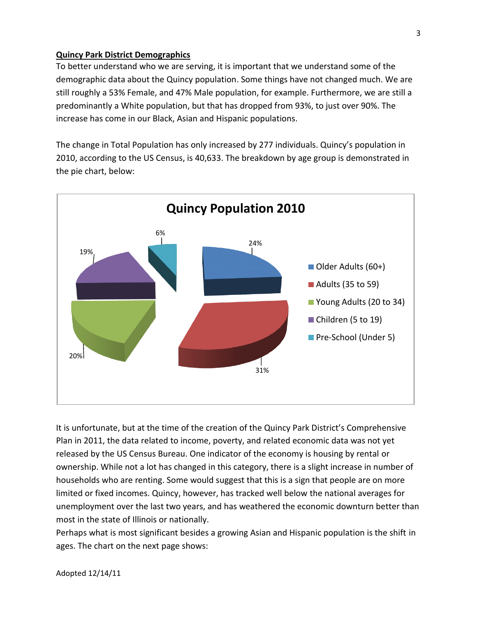#### **Quincy Park District Demographics**

To better understand who we are serving, it is important that we understand some of the demographic data about the Quincy population. Some things have not changed much. We are still roughly a 53% Female, and 47% Male population, for example. Furthermore, we are still a predominantly a White population, but that has dropped from 93%, to just over 90%. The increase has come in our Black, Asian and Hispanic populations.

The change in Total Population has only increased by 277 individuals. Quincy's population in 2010, according to the US Census, is 40,633. The breakdown by age group is demonstrated in the pie chart, below:



It is unfortunate, but at the time of the creation of the Quincy Park District's Comprehensive Plan in 2011, the data related to income, poverty, and related economic data was not yet released by the US Census Bureau. One indicator of the economy is housing by rental or ownership. While not a lot has changed in this category, there is a slight increase in number of households who are renting. Some would suggest that this is a sign that people are on more limited or fixed incomes. Quincy, however, has tracked well below the national averages for unemployment over the last two years, and has weathered the economic downturn better than most in the state of Illinois or nationally.

Perhaps what is most significant besides a growing Asian and Hispanic population is the shift in ages. The chart on the next page shows: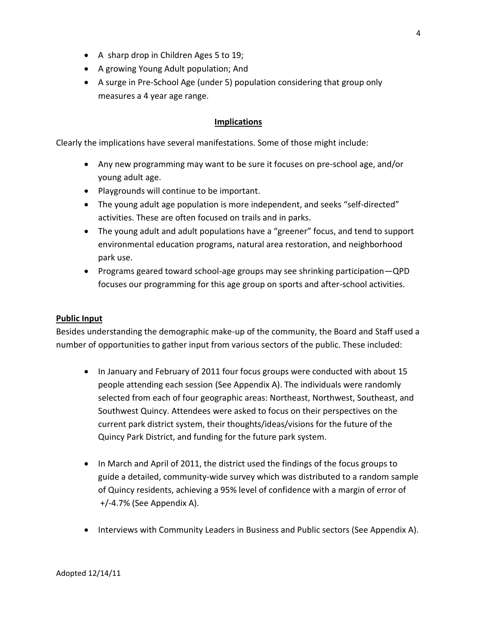- A sharp drop in Children Ages 5 to 19;
- A growing Young Adult population; And
- A surge in Pre-School Age (under 5) population considering that group only measures a 4 year age range.

### **Implications**

Clearly the implications have several manifestations. Some of those might include:

- Any new programming may want to be sure it focuses on pre-school age, and/or young adult age.
- Playgrounds will continue to be important.
- The young adult age population is more independent, and seeks "self-directed" activities. These are often focused on trails and in parks.
- The young adult and adult populations have a "greener" focus, and tend to support environmental education programs, natural area restoration, and neighborhood park use.
- Programs geared toward school-age groups may see shrinking participation—QPD focuses our programming for this age group on sports and after-school activities.

### **Public Input**

Besides understanding the demographic make-up of the community, the Board and Staff used a number of opportunities to gather input from various sectors of the public. These included:

- In January and February of 2011 four focus groups were conducted with about 15 people attending each session (See Appendix A). The individuals were randomly selected from each of four geographic areas: Northeast, Northwest, Southeast, and Southwest Quincy. Attendees were asked to focus on their perspectives on the current park district system, their thoughts/ideas/visions for the future of the Quincy Park District, and funding for the future park system.
- In March and April of 2011, the district used the findings of the focus groups to guide a detailed, community-wide survey which was distributed to a random sample of Quincy residents, achieving a 95% level of confidence with a margin of error of +/-4.7% (See Appendix A).
- Interviews with Community Leaders in Business and Public sectors (See Appendix A).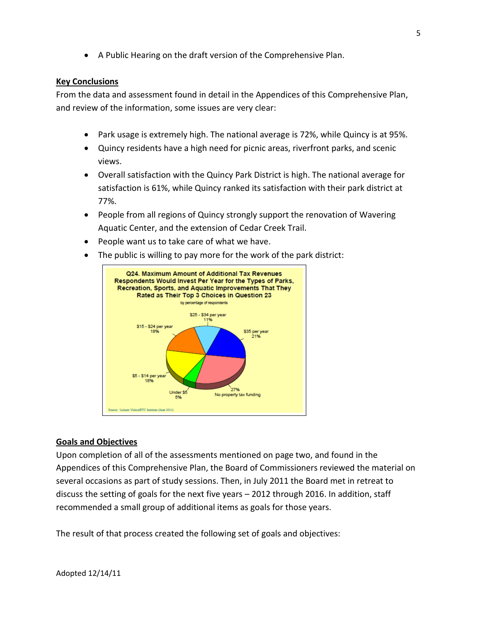A Public Hearing on the draft version of the Comprehensive Plan.

#### **Key Conclusions**

From the data and assessment found in detail in the Appendices of this Comprehensive Plan, and review of the information, some issues are very clear:

- Park usage is extremely high. The national average is 72%, while Quincy is at 95%.
- Quincy residents have a high need for picnic areas, riverfront parks, and scenic views.
- Overall satisfaction with the Quincy Park District is high. The national average for satisfaction is 61%, while Quincy ranked its satisfaction with their park district at 77%.
- People from all regions of Quincy strongly support the renovation of Wavering Aquatic Center, and the extension of Cedar Creek Trail.
- People want us to take care of what we have.
- The public is willing to pay more for the work of the park district:



### **Goals and Objectives**

Upon completion of all of the assessments mentioned on page two, and found in the Appendices of this Comprehensive Plan, the Board of Commissioners reviewed the material on several occasions as part of study sessions. Then, in July 2011 the Board met in retreat to discuss the setting of goals for the next five years – 2012 through 2016. In addition, staff recommended a small group of additional items as goals for those years.

The result of that process created the following set of goals and objectives: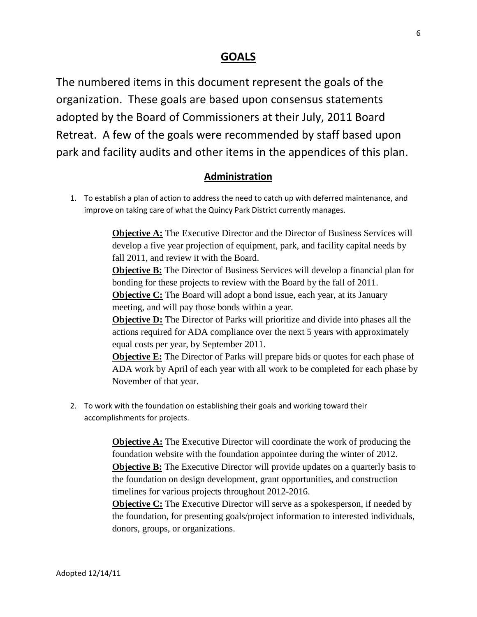# **GOALS**

The numbered items in this document represent the goals of the organization. These goals are based upon consensus statements adopted by the Board of Commissioners at their July, 2011 Board Retreat. A few of the goals were recommended by staff based upon park and facility audits and other items in the appendices of this plan.

# **Administration**

1. To establish a plan of action to address the need to catch up with deferred maintenance, and improve on taking care of what the Quincy Park District currently manages.

> **Objective A:** The Executive Director and the Director of Business Services will develop a five year projection of equipment, park, and facility capital needs by fall 2011, and review it with the Board.

> **Objective B:** The Director of Business Services will develop a financial plan for bonding for these projects to review with the Board by the fall of 2011.

**Objective C:** The Board will adopt a bond issue, each year, at its January meeting, and will pay those bonds within a year.

**Objective D:** The Director of Parks will prioritize and divide into phases all the actions required for ADA compliance over the next 5 years with approximately equal costs per year, by September 2011.

**Objective E:** The Director of Parks will prepare bids or quotes for each phase of ADA work by April of each year with all work to be completed for each phase by November of that year.

2. To work with the foundation on establishing their goals and working toward their accomplishments for projects.

> **Objective A:** The Executive Director will coordinate the work of producing the foundation website with the foundation appointee during the winter of 2012. **Objective B:** The Executive Director will provide updates on a quarterly basis to the foundation on design development, grant opportunities, and construction timelines for various projects throughout 2012-2016.

> **Objective C:** The Executive Director will serve as a spokesperson, if needed by the foundation, for presenting goals/project information to interested individuals, donors, groups, or organizations.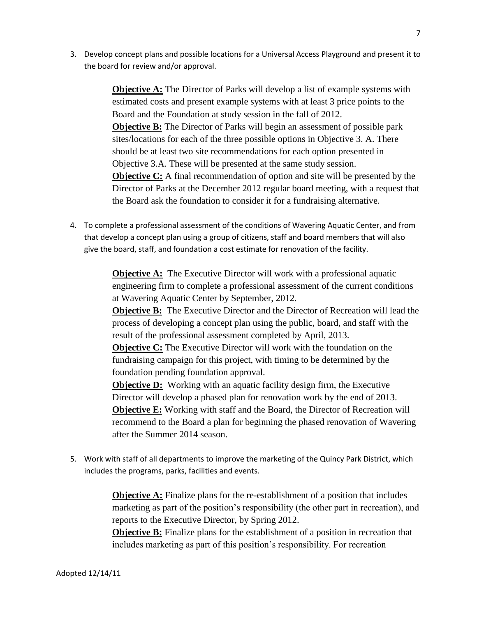3. Develop concept plans and possible locations for a Universal Access Playground and present it to the board for review and/or approval.

> **Objective A:** The Director of Parks will develop a list of example systems with estimated costs and present example systems with at least 3 price points to the Board and the Foundation at study session in the fall of 2012. **Objective B:** The Director of Parks will begin an assessment of possible park sites/locations for each of the three possible options in Objective 3. A. There should be at least two site recommendations for each option presented in Objective 3.A. These will be presented at the same study session. **Objective C:** A final recommendation of option and site will be presented by the Director of Parks at the December 2012 regular board meeting, with a request that the Board ask the foundation to consider it for a fundraising alternative.

4. To complete a professional assessment of the conditions of Wavering Aquatic Center, and from that develop a concept plan using a group of citizens, staff and board members that will also give the board, staff, and foundation a cost estimate for renovation of the facility.

> **Objective A:** The Executive Director will work with a professional aquatic engineering firm to complete a professional assessment of the current conditions at Wavering Aquatic Center by September, 2012.

**Objective B:** The Executive Director and the Director of Recreation will lead the process of developing a concept plan using the public, board, and staff with the result of the professional assessment completed by April, 2013.

**Objective C:** The Executive Director will work with the foundation on the fundraising campaign for this project, with timing to be determined by the foundation pending foundation approval.

**Objective D:** Working with an aquatic facility design firm, the Executive Director will develop a phased plan for renovation work by the end of 2013. **Objective E:** Working with staff and the Board, the Director of Recreation will recommend to the Board a plan for beginning the phased renovation of Wavering after the Summer 2014 season.

5. Work with staff of all departments to improve the marketing of the Quincy Park District, which includes the programs, parks, facilities and events.

> **Objective A:** Finalize plans for the re-establishment of a position that includes marketing as part of the position's responsibility (the other part in recreation), and reports to the Executive Director, by Spring 2012. **Objective B:** Finalize plans for the establishment of a position in recreation that

includes marketing as part of this position's responsibility. For recreation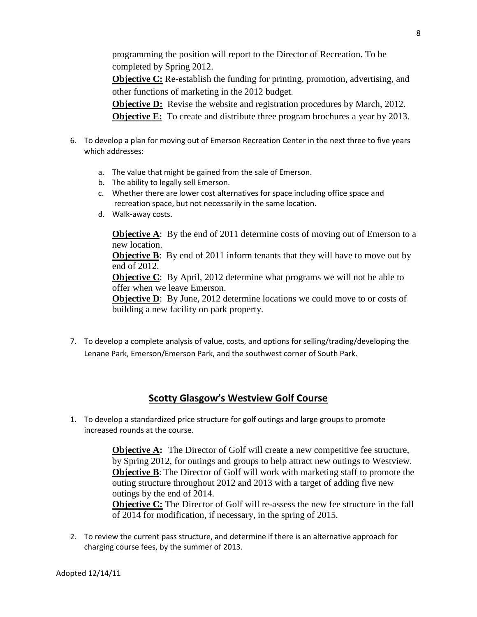programming the position will report to the Director of Recreation. To be completed by Spring 2012.

**Objective C:** Re-establish the funding for printing, promotion, advertising, and other functions of marketing in the 2012 budget.

**Objective D:** Revise the website and registration procedures by March, 2012. **Objective E:** To create and distribute three program brochures a year by 2013.

- 6. To develop a plan for moving out of Emerson Recreation Center in the next three to five years which addresses:
	- a. The value that might be gained from the sale of Emerson.
	- b. The ability to legally sell Emerson.
	- c. Whether there are lower cost alternatives for space including office space and recreation space, but not necessarily in the same location.
	- d. Walk-away costs.

**Objective A**: By the end of 2011 determine costs of moving out of Emerson to a new location.

**Objective B**: By end of 2011 inform tenants that they will have to move out by end of 2012.

**Objective C**: By April, 2012 determine what programs we will not be able to offer when we leave Emerson.

**Objective D**: By June, 2012 determine locations we could move to or costs of building a new facility on park property.

7. To develop a complete analysis of value, costs, and options for selling/trading/developing the Lenane Park, Emerson/Emerson Park, and the southwest corner of South Park.

# **Scotty Glasgow's Westview Golf Course**

1. To develop a standardized price structure for golf outings and large groups to promote increased rounds at the course.

> **Objective A:** The Director of Golf will create a new competitive fee structure, by Spring 2012, for outings and groups to help attract new outings to Westview. **Objective B**: The Director of Golf will work with marketing staff to promote the outing structure throughout 2012 and 2013 with a target of adding five new outings by the end of 2014.

> **Objective C:** The Director of Golf will re-assess the new fee structure in the fall of 2014 for modification, if necessary, in the spring of 2015.

2. To review the current pass structure, and determine if there is an alternative approach for charging course fees, by the summer of 2013.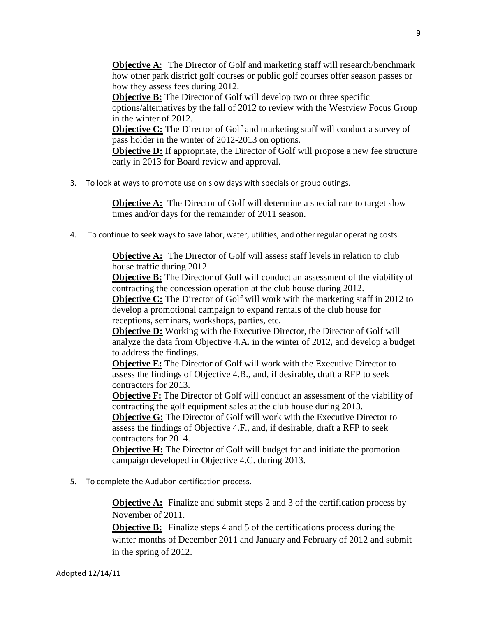**Objective A:** The Director of Golf and marketing staff will research/benchmark how other park district golf courses or public golf courses offer season passes or how they assess fees during 2012.

**Objective B:** The Director of Golf will develop two or three specific options/alternatives by the fall of 2012 to review with the Westview Focus Group in the winter of 2012.

**Objective C:** The Director of Golf and marketing staff will conduct a survey of pass holder in the winter of 2012-2013 on options.

**Objective D:** If appropriate, the Director of Golf will propose a new fee structure early in 2013 for Board review and approval.

3. To look at ways to promote use on slow days with specials or group outings.

**Objective A:** The Director of Golf will determine a special rate to target slow times and/or days for the remainder of 2011 season.

4. To continue to seek ways to save labor, water, utilities, and other regular operating costs.

**Objective A:** The Director of Golf will assess staff levels in relation to club house traffic during 2012.

**Objective B:** The Director of Golf will conduct an assessment of the viability of contracting the concession operation at the club house during 2012.

**Objective C:** The Director of Golf will work with the marketing staff in 2012 to develop a promotional campaign to expand rentals of the club house for receptions, seminars, workshops, parties, etc.

**Objective D:** Working with the Executive Director, the Director of Golf will analyze the data from Objective 4.A. in the winter of 2012, and develop a budget to address the findings.

**Objective E:** The Director of Golf will work with the Executive Director to assess the findings of Objective 4.B., and, if desirable, draft a RFP to seek contractors for 2013.

**Objective F:** The Director of Golf will conduct an assessment of the viability of contracting the golf equipment sales at the club house during 2013.

**Objective G:** The Director of Golf will work with the Executive Director to assess the findings of Objective 4.F., and, if desirable, draft a RFP to seek contractors for 2014.

**Objective H:** The Director of Golf will budget for and initiate the promotion campaign developed in Objective 4.C. during 2013.

5. To complete the Audubon certification process.

**Objective A:** Finalize and submit steps 2 and 3 of the certification process by November of 2011.

**Objective B:** Finalize steps 4 and 5 of the certifications process during the winter months of December 2011 and January and February of 2012 and submit in the spring of 2012.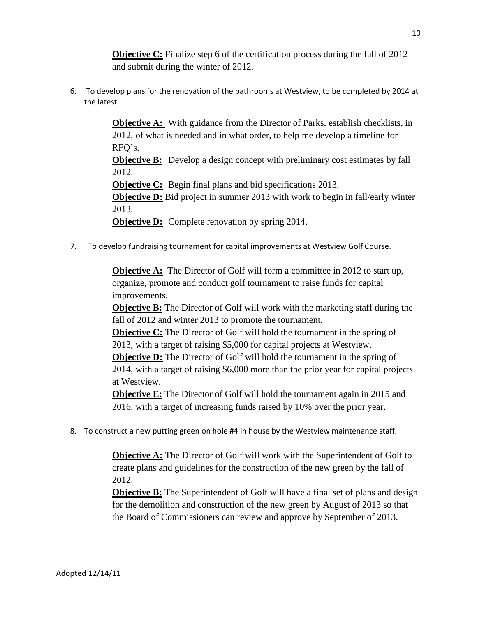**Objective C:** Finalize step 6 of the certification process during the fall of 2012 and submit during the winter of 2012.

6. To develop plans for the renovation of the bathrooms at Westview, to be completed by 2014 at the latest.

> **Objective A:** With guidance from the Director of Parks, establish checklists, in 2012, of what is needed and in what order, to help me develop a timeline for RFQ's. **Objective B:** Develop a design concept with preliminary cost estimates by fall 2012. **Objective C:** Begin final plans and bid specifications 2013. **Objective D:** Bid project in summer 2013 with work to begin in fall/early winter 2013. **Objective D:** Complete renovation by spring 2014.

7. To develop fundraising tournament for capital improvements at Westview Golf Course.

**Objective A:** The Director of Golf will form a committee in 2012 to start up, organize, promote and conduct golf tournament to raise funds for capital improvements.

**Objective B:** The Director of Golf will work with the marketing staff during the fall of 2012 and winter 2013 to promote the tournament.

**Objective C:** The Director of Golf will hold the tournament in the spring of 2013, with a target of raising \$5,000 for capital projects at Westview.

**Objective D:** The Director of Golf will hold the tournament in the spring of 2014, with a target of raising \$6,000 more than the prior year for capital projects at Westview.

**Objective E:** The Director of Golf will hold the tournament again in 2015 and 2016, with a target of increasing funds raised by 10% over the prior year.

8. To construct a new putting green on hole #4 in house by the Westview maintenance staff.

**Objective A:** The Director of Golf will work with the Superintendent of Golf to create plans and guidelines for the construction of the new green by the fall of 2012.

**Objective B:** The Superintendent of Golf will have a final set of plans and design for the demolition and construction of the new green by August of 2013 so that the Board of Commissioners can review and approve by September of 2013.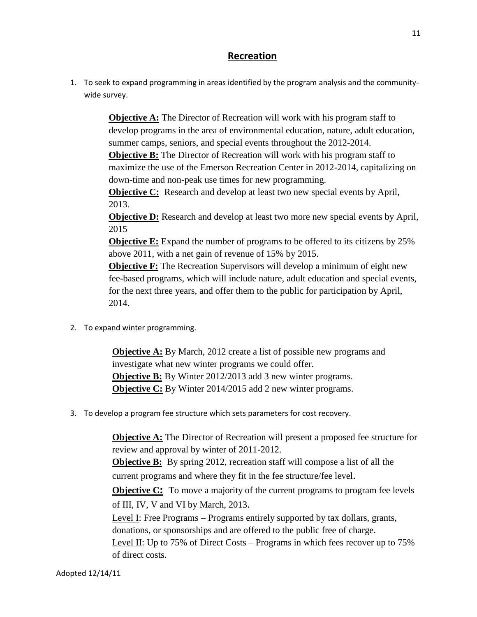## **Recreation**

1. To seek to expand programming in areas identified by the program analysis and the communitywide survey.

> **Objective A:** The Director of Recreation will work with his program staff to develop programs in the area of environmental education, nature, adult education, summer camps, seniors, and special events throughout the 2012-2014.

> **Objective B:** The Director of Recreation will work with his program staff to maximize the use of the Emerson Recreation Center in 2012-2014, capitalizing on down-time and non-peak use times for new programming.

**Objective C:** Research and develop at least two new special events by April, 2013.

**Objective D:** Research and develop at least two more new special events by April*,*  2015

**Objective E:** Expand the number of programs to be offered to its citizens by 25% above 2011, with a net gain of revenue of 15% by 2015.

**Objective F:** The Recreation Supervisors will develop a minimum of eight new fee-based programs, which will include nature, adult education and special events, for the next three years, and offer them to the public for participation by April, 2014.

2. To expand winter programming.

**Objective A:** By March, 2012 create a list of possible new programs and investigate what new winter programs we could offer. **Objective B:** By Winter 2012/2013 add 3 new winter programs. **Objective C:** By Winter 2014/2015 add 2 new winter programs.

3. To develop a program fee structure which sets parameters for cost recovery.

**Objective A:** The Director of Recreation will present a proposed fee structure for review and approval by winter of 2011-2012.

**Objective B:** By spring 2012, recreation staff will compose a list of all the current programs and where they fit in the fee structure/fee level.

**Objective C:** To move a majority of the current programs to program fee levels of III, IV, V and VI by March, 2013.

Level I: Free Programs – Programs entirely supported by tax dollars, grants, donations, or sponsorships and are offered to the public free of charge.

<u>Level II</u>: Up to 75% of Direct Costs – Programs in which fees recover up to 75% of direct costs.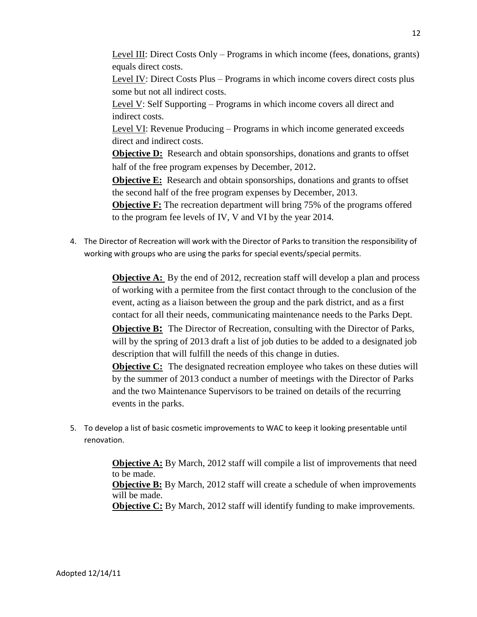Level III: Direct Costs Only – Programs in which income (fees, donations, grants) equals direct costs.

Level IV: Direct Costs Plus – Programs in which income covers direct costs plus some but not all indirect costs.

Level V: Self Supporting – Programs in which income covers all direct and indirect costs.

Level VI: Revenue Producing – Programs in which income generated exceeds direct and indirect costs.

**Objective D:** Research and obtain sponsorships, donations and grants to offset half of the free program expenses by December, 2012.

**Objective E:** Research and obtain sponsorships, donations and grants to offset the second half of the free program expenses by December, 2013.

**Objective F:** The recreation department will bring 75% of the programs offered to the program fee levels of IV, V and VI by the year 2014.

4. The Director of Recreation will work with the Director of Parks to transition the responsibility of working with groups who are using the parks for special events/special permits.

> **Objective A:** By the end of 2012, recreation staff will develop a plan and process of working with a permitee from the first contact through to the conclusion of the event, acting as a liaison between the group and the park district, and as a first contact for all their needs, communicating maintenance needs to the Parks Dept.

> **Objective B:** The Director of Recreation, consulting with the Director of Parks, will by the spring of 2013 draft a list of job duties to be added to a designated job description that will fulfill the needs of this change in duties.

> **Objective C:** The designated recreation employee who takes on these duties will by the summer of 2013 conduct a number of meetings with the Director of Parks and the two Maintenance Supervisors to be trained on details of the recurring events in the parks.

5. To develop a list of basic cosmetic improvements to WAC to keep it looking presentable until renovation.

> **Objective A:** By March, 2012 staff will compile a list of improvements that need to be made. **Objective B:** By March, 2012 staff will create a schedule of when improvements will be made. **Objective C:** By March, 2012 staff will identify funding to make improvements.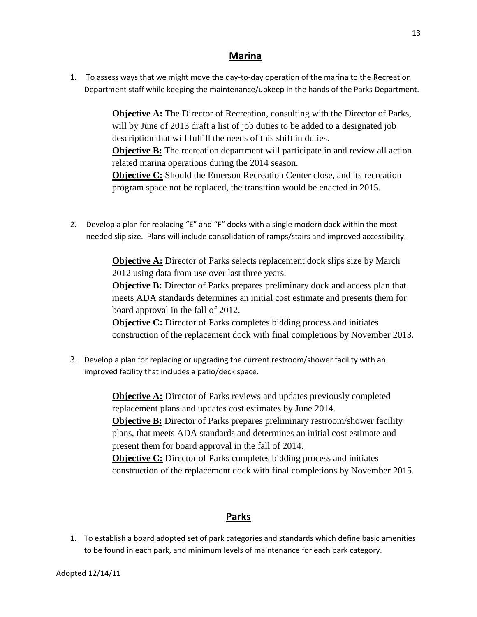### **Marina**

1. To assess ways that we might move the day-to-day operation of the marina to the Recreation Department staff while keeping the maintenance/upkeep in the hands of the Parks Department.

> **Objective A:** The Director of Recreation, consulting with the Director of Parks, will by June of 2013 draft a list of job duties to be added to a designated job description that will fulfill the needs of this shift in duties.

> **Objective B:** The recreation department will participate in and review all action related marina operations during the 2014 season.

**Objective C:** Should the Emerson Recreation Center close, and its recreation program space not be replaced, the transition would be enacted in 2015.

2. Develop a plan for replacing "E" and "F" docks with a single modern dock within the most needed slip size. Plans will include consolidation of ramps/stairs and improved accessibility.

> **Objective A:** Director of Parks selects replacement dock slips size by March 2012 using data from use over last three years.

**Objective B:** Director of Parks prepares preliminary dock and access plan that meets ADA standards determines an initial cost estimate and presents them for board approval in the fall of 2012.

**Objective C:** Director of Parks completes bidding process and initiates construction of the replacement dock with final completions by November 2013.

3. Develop a plan for replacing or upgrading the current restroom/shower facility with an improved facility that includes a patio/deck space.

> **Objective A:** Director of Parks reviews and updates previously completed replacement plans and updates cost estimates by June 2014. **Objective B:** Director of Parks prepares preliminary restroom/shower facility plans, that meets ADA standards and determines an initial cost estimate and present them for board approval in the fall of 2014. **Objective C:** Director of Parks completes bidding process and initiates construction of the replacement dock with final completions by November 2015.

# **Parks**

1. To establish a board adopted set of park categories and standards which define basic amenities to be found in each park, and minimum levels of maintenance for each park category.

13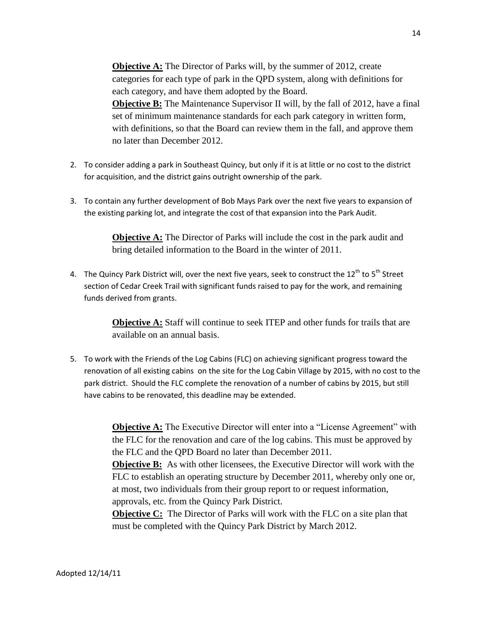**Objective A:** The Director of Parks will, by the summer of 2012, create categories for each type of park in the QPD system, along with definitions for each category, and have them adopted by the Board. **Objective B:** The Maintenance Supervisor II will, by the fall of 2012, have a final set of minimum maintenance standards for each park category in written form, with definitions, so that the Board can review them in the fall, and approve them no later than December 2012.

- 2. To consider adding a park in Southeast Quincy, but only if it is at little or no cost to the district for acquisition, and the district gains outright ownership of the park.
- 3. To contain any further development of Bob Mays Park over the next five years to expansion of the existing parking lot, and integrate the cost of that expansion into the Park Audit.

**Objective A:** The Director of Parks will include the cost in the park audit and bring detailed information to the Board in the winter of 2011.

4. The Quincy Park District will, over the next five years, seek to construct the  $12^{th}$  to  $5^{th}$  Street section of Cedar Creek Trail with significant funds raised to pay for the work, and remaining funds derived from grants.

> **Objective A:** Staff will continue to seek ITEP and other funds for trails that are available on an annual basis.

5. To work with the Friends of the Log Cabins (FLC) on achieving significant progress toward the renovation of all existing cabins on the site for the Log Cabin Village by 2015, with no cost to the park district. Should the FLC complete the renovation of a number of cabins by 2015, but still have cabins to be renovated, this deadline may be extended.

> **Objective A:** The Executive Director will enter into a "License Agreement" with the FLC for the renovation and care of the log cabins. This must be approved by the FLC and the QPD Board no later than December 2011.

> **Objective B:** As with other licensees, the Executive Director will work with the FLC to establish an operating structure by December 2011, whereby only one or, at most, two individuals from their group report to or request information, approvals, etc. from the Quincy Park District.

**Objective C:** The Director of Parks will work with the FLC on a site plan that must be completed with the Quincy Park District by March 2012.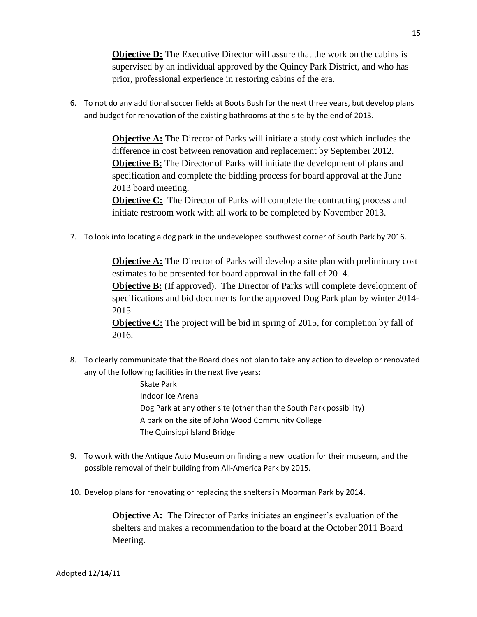**Objective D:** The Executive Director will assure that the work on the cabins is supervised by an individual approved by the Quincy Park District, and who has prior, professional experience in restoring cabins of the era.

6. To not do any additional soccer fields at Boots Bush for the next three years, but develop plans and budget for renovation of the existing bathrooms at the site by the end of 2013.

> **Objective A:** The Director of Parks will initiate a study cost which includes the difference in cost between renovation and replacement by September 2012. **Objective B:** The Director of Parks will initiate the development of plans and specification and complete the bidding process for board approval at the June 2013 board meeting.

**Objective C:** The Director of Parks will complete the contracting process and initiate restroom work with all work to be completed by November 2013.

7. To look into locating a dog park in the undeveloped southwest corner of South Park by 2016.

**Objective A:** The Director of Parks will develop a site plan with preliminary cost estimates to be presented for board approval in the fall of 2014.

**Objective B:** (If approved). The Director of Parks will complete development of specifications and bid documents for the approved Dog Park plan by winter 2014- 2015.

**Objective C:** The project will be bid in spring of 2015, for completion by fall of 2016.

- 8. To clearly communicate that the Board does not plan to take any action to develop or renovated any of the following facilities in the next five years:
	- Skate Park Indoor Ice Arena Dog Park at any other site (other than the South Park possibility) A park on the site of John Wood Community College The Quinsippi Island Bridge
- 9. To work with the Antique Auto Museum on finding a new location for their museum, and the possible removal of their building from All-America Park by 2015.
- 10. Develop plans for renovating or replacing the shelters in Moorman Park by 2014.

**Objective A:** The Director of Parks initiates an engineer's evaluation of the shelters and makes a recommendation to the board at the October 2011 Board Meeting.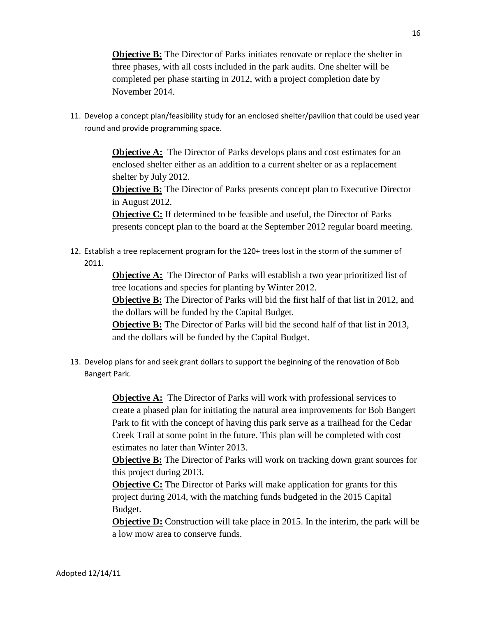**Objective B:** The Director of Parks initiates renovate or replace the shelter in three phases, with all costs included in the park audits. One shelter will be completed per phase starting in 2012, with a project completion date by November 2014.

11. Develop a concept plan/feasibility study for an enclosed shelter/pavilion that could be used year round and provide programming space.

> **Objective A:** The Director of Parks develops plans and cost estimates for an enclosed shelter either as an addition to a current shelter or as a replacement shelter by July 2012.

**Objective B:** The Director of Parks presents concept plan to Executive Director in August 2012.

**Objective C:** If determined to be feasible and useful, the Director of Parks presents concept plan to the board at the September 2012 regular board meeting.

12. Establish a tree replacement program for the 120+ trees lost in the storm of the summer of 2011.

> **Objective A:** The Director of Parks will establish a two year prioritized list of tree locations and species for planting by Winter 2012.

**Objective B:** The Director of Parks will bid the first half of that list in 2012, and the dollars will be funded by the Capital Budget.

**Objective B:** The Director of Parks will bid the second half of that list in 2013, and the dollars will be funded by the Capital Budget.

13. Develop plans for and seek grant dollars to support the beginning of the renovation of Bob Bangert Park.

> **Objective A:** The Director of Parks will work with professional services to create a phased plan for initiating the natural area improvements for Bob Bangert Park to fit with the concept of having this park serve as a trailhead for the Cedar Creek Trail at some point in the future. This plan will be completed with cost estimates no later than Winter 2013.

> **Objective B:** The Director of Parks will work on tracking down grant sources for this project during 2013.

**Objective C:** The Director of Parks will make application for grants for this project during 2014, with the matching funds budgeted in the 2015 Capital Budget.

**Objective D:** Construction will take place in 2015. In the interim, the park will be a low mow area to conserve funds.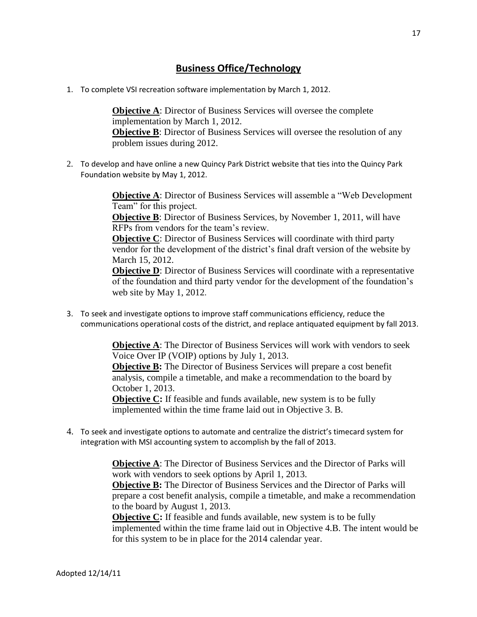### **Business Office/Technology**

1. To complete VSI recreation software implementation by March 1, 2012.

**Objective A:** Director of Business Services will oversee the complete implementation by March 1, 2012. **Objective B:** Director of Business Services will oversee the resolution of any problem issues during 2012.

2. To develop and have online a new Quincy Park District website that ties into the Quincy Park Foundation website by May 1, 2012.

> **Objective A:** Director of Business Services will assemble a "Web Development" Team" for this project.

**Objective B**: Director of Business Services, by November 1, 2011, will have RFPs from vendors for the team's review.

**Objective C**: Director of Business Services will coordinate with third party vendor for the development of the district's final draft version of the website by March 15, 2012.

**Objective D**: Director of Business Services will coordinate with a representative of the foundation and third party vendor for the development of the foundation's web site by May 1, 2012.

3. To seek and investigate options to improve staff communications efficiency, reduce the communications operational costs of the district, and replace antiquated equipment by fall 2013.

> **Objective A**: The Director of Business Services will work with vendors to seek Voice Over IP (VOIP) options by July 1, 2013.

**Objective B:** The Director of Business Services will prepare a cost benefit analysis, compile a timetable, and make a recommendation to the board by October 1, 2013.

**Objective C:** If feasible and funds available, new system is to be fully implemented within the time frame laid out in Objective 3. B.

4. To seek and investigate options to automate and centralize the district's timecard system for integration with MSI accounting system to accomplish by the fall of 2013.

> **Objective A**: The Director of Business Services and the Director of Parks will work with vendors to seek options by April 1, 2013.

**Objective B:** The Director of Business Services and the Director of Parks will prepare a cost benefit analysis, compile a timetable, and make a recommendation to the board by August 1, 2013.

**Objective C:** If feasible and funds available, new system is to be fully implemented within the time frame laid out in Objective 4.B. The intent would be for this system to be in place for the 2014 calendar year.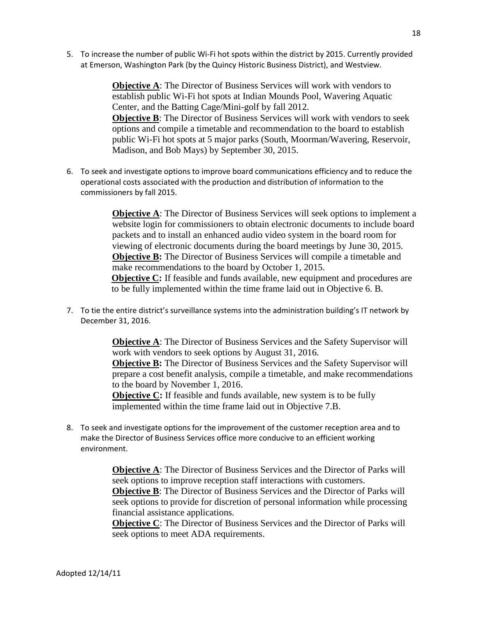5. To increase the number of public Wi-Fi hot spots within the district by 2015. Currently provided at Emerson, Washington Park (by the Quincy Historic Business District), and Westview.

> **Objective A:** The Director of Business Services will work with vendors to establish public Wi-Fi hot spots at Indian Mounds Pool, Wavering Aquatic Center, and the Batting Cage/Mini-golf by fall 2012. **Objective B**: The Director of Business Services will work with vendors to seek options and compile a timetable and recommendation to the board to establish public Wi-Fi hot spots at 5 major parks (South, Moorman/Wavering, Reservoir, Madison, and Bob Mays) by September 30, 2015.

6. To seek and investigate options to improve board communications efficiency and to reduce the operational costs associated with the production and distribution of information to the commissioners by fall 2015.

> **Objective A:** The Director of Business Services will seek options to implement a website login for commissioners to obtain electronic documents to include board packets and to install an enhanced audio video system in the board room for viewing of electronic documents during the board meetings by June 30, 2015. **Objective B:** The Director of Business Services will compile a timetable and make recommendations to the board by October 1, 2015. **Objective C:** If feasible and funds available, new equipment and procedures are to be fully implemented within the time frame laid out in Objective 6. B.

7. To tie the entire district's surveillance systems into the administration building's IT network by December 31, 2016.

> **Objective A**: The Director of Business Services and the Safety Supervisor will work with vendors to seek options by August 31, 2016. **Objective B:** The Director of Business Services and the Safety Supervisor will prepare a cost benefit analysis, compile a timetable, and make recommendations to the board by November 1, 2016.

**Objective C:** If feasible and funds available, new system is to be fully implemented within the time frame laid out in Objective 7.B.

8. To seek and investigate options for the improvement of the customer reception area and to make the Director of Business Services office more conducive to an efficient working environment.

> **Objective A**: The Director of Business Services and the Director of Parks will seek options to improve reception staff interactions with customers. **Objective B**: The Director of Business Services and the Director of Parks will seek options to provide for discretion of personal information while processing financial assistance applications.

> **Objective C:** The Director of Business Services and the Director of Parks will seek options to meet ADA requirements.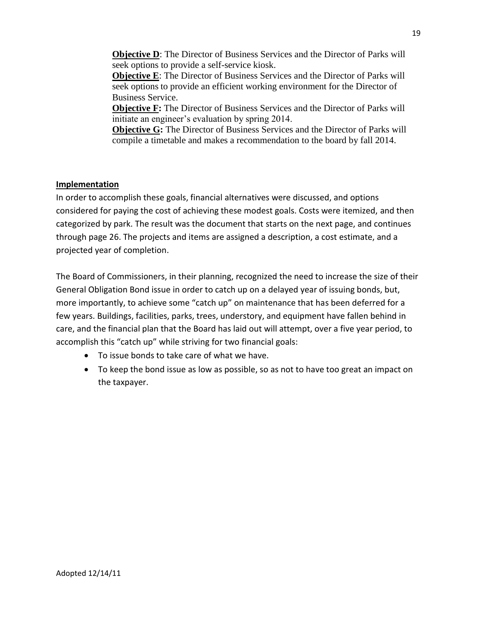**Objective D:** The Director of Business Services and the Director of Parks will seek options to provide a self-service kiosk.

**Objective E**: The Director of Business Services and the Director of Parks will seek options to provide an efficient working environment for the Director of Business Service.

**Objective F:** The Director of Business Services and the Director of Parks will initiate an engineer's evaluation by spring 2014.

**Objective G:** The Director of Business Services and the Director of Parks will compile a timetable and makes a recommendation to the board by fall 2014.

## **Implementation**

In order to accomplish these goals, financial alternatives were discussed, and options considered for paying the cost of achieving these modest goals. Costs were itemized, and then categorized by park. The result was the document that starts on the next page, and continues through page 26. The projects and items are assigned a description, a cost estimate, and a projected year of completion.

The Board of Commissioners, in their planning, recognized the need to increase the size of their General Obligation Bond issue in order to catch up on a delayed year of issuing bonds, but, more importantly, to achieve some "catch up" on maintenance that has been deferred for a few years. Buildings, facilities, parks, trees, understory, and equipment have fallen behind in care, and the financial plan that the Board has laid out will attempt, over a five year period, to accomplish this "catch up" while striving for two financial goals:

- To issue bonds to take care of what we have.
- To keep the bond issue as low as possible, so as not to have too great an impact on the taxpayer.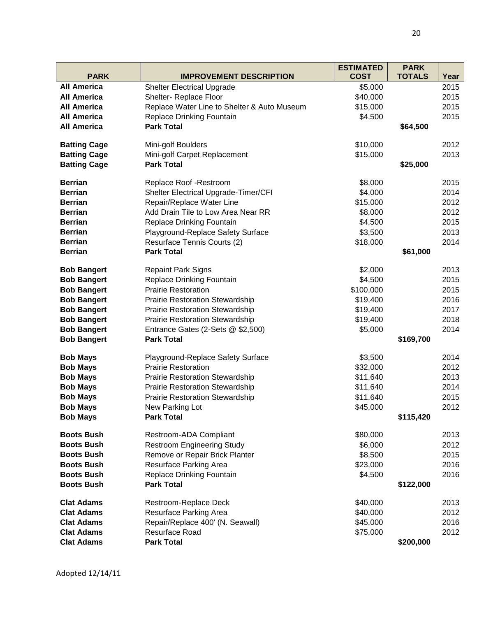|                                    |                                                                 | <b>ESTIMATED</b>     | <b>PARK</b>   |      |
|------------------------------------|-----------------------------------------------------------------|----------------------|---------------|------|
| <b>PARK</b>                        | <b>IMPROVEMENT DESCRIPTION</b>                                  | <b>COST</b>          | <b>TOTALS</b> | Year |
| <b>All America</b>                 | <b>Shelter Electrical Upgrade</b>                               | \$5,000              |               | 2015 |
| <b>All America</b>                 | Shelter- Replace Floor                                          | \$40,000             |               | 2015 |
| <b>All America</b>                 | Replace Water Line to Shelter & Auto Museum                     | \$15,000             |               | 2015 |
| <b>All America</b>                 | Replace Drinking Fountain                                       | \$4,500              |               | 2015 |
| <b>All America</b>                 | <b>Park Total</b>                                               |                      | \$64,500      |      |
|                                    |                                                                 |                      |               |      |
| <b>Batting Cage</b>                | Mini-golf Boulders                                              | \$10,000             |               | 2012 |
| <b>Batting Cage</b>                | Mini-golf Carpet Replacement                                    | \$15,000             |               | 2013 |
| <b>Batting Cage</b>                | <b>Park Total</b>                                               |                      | \$25,000      |      |
| <b>Berrian</b>                     | Replace Roof - Restroom                                         | \$8,000              |               | 2015 |
| <b>Berrian</b>                     | Shelter Electrical Upgrade-Timer/CFI                            | \$4,000              |               | 2014 |
| <b>Berrian</b>                     | Repair/Replace Water Line                                       | \$15,000             |               | 2012 |
| <b>Berrian</b>                     | Add Drain Tile to Low Area Near RR                              | \$8,000              |               | 2012 |
| <b>Berrian</b>                     | <b>Replace Drinking Fountain</b>                                | \$4,500              |               | 2015 |
| <b>Berrian</b>                     | Playground-Replace Safety Surface                               | \$3,500              |               | 2013 |
| <b>Berrian</b>                     | Resurface Tennis Courts (2)                                     | \$18,000             |               | 2014 |
| <b>Berrian</b>                     | <b>Park Total</b>                                               |                      | \$61,000      |      |
| <b>Bob Bangert</b>                 | <b>Repaint Park Signs</b>                                       | \$2,000              |               | 2013 |
| <b>Bob Bangert</b>                 | <b>Replace Drinking Fountain</b>                                | \$4,500              |               | 2015 |
| <b>Bob Bangert</b>                 | <b>Prairie Restoration</b>                                      | \$100,000            |               | 2015 |
| <b>Bob Bangert</b>                 | <b>Prairie Restoration Stewardship</b>                          | \$19,400             |               | 2016 |
| <b>Bob Bangert</b>                 | <b>Prairie Restoration Stewardship</b>                          | \$19,400             |               | 2017 |
| <b>Bob Bangert</b>                 | <b>Prairie Restoration Stewardship</b>                          | \$19,400             |               | 2018 |
| <b>Bob Bangert</b>                 | Entrance Gates (2-Sets @ \$2,500)                               | \$5,000              |               | 2014 |
| <b>Bob Bangert</b>                 | <b>Park Total</b>                                               |                      | \$169,700     |      |
|                                    |                                                                 | \$3,500              |               | 2014 |
| <b>Bob Mays</b><br><b>Bob Mays</b> | Playground-Replace Safety Surface<br><b>Prairie Restoration</b> | \$32,000             |               | 2012 |
| <b>Bob Mays</b>                    | <b>Prairie Restoration Stewardship</b>                          |                      |               | 2013 |
| <b>Bob Mays</b>                    | <b>Prairie Restoration Stewardship</b>                          | \$11,640<br>\$11,640 |               | 2014 |
|                                    |                                                                 |                      |               | 2015 |
| <b>Bob Mays</b>                    | <b>Prairie Restoration Stewardship</b>                          | \$11,640<br>\$45,000 |               | 2012 |
| <b>Bob Mays</b><br><b>Bob Mays</b> | New Parking Lot<br><b>Park Total</b>                            |                      | \$115,420     |      |
|                                    |                                                                 |                      |               |      |
| <b>Boots Bush</b>                  | Restroom-ADA Compliant                                          | \$80,000             |               | 2013 |
| <b>Boots Bush</b>                  | <b>Restroom Engineering Study</b>                               | \$6,000              |               | 2012 |
| <b>Boots Bush</b>                  | Remove or Repair Brick Planter                                  | \$8,500              |               | 2015 |
| <b>Boots Bush</b>                  | Resurface Parking Area                                          | \$23,000             |               | 2016 |
| <b>Boots Bush</b>                  | <b>Replace Drinking Fountain</b>                                | \$4,500              |               | 2016 |
| <b>Boots Bush</b>                  | <b>Park Total</b>                                               |                      | \$122,000     |      |
| <b>Clat Adams</b>                  | Restroom-Replace Deck                                           | \$40,000             |               | 2013 |
| <b>Clat Adams</b>                  | Resurface Parking Area                                          | \$40,000             |               | 2012 |
| <b>Clat Adams</b>                  | Repair/Replace 400' (N. Seawall)                                | \$45,000             |               | 2016 |
| <b>Clat Adams</b>                  | <b>Resurface Road</b>                                           | \$75,000             |               | 2012 |
| <b>Clat Adams</b>                  | <b>Park Total</b>                                               |                      | \$200,000     |      |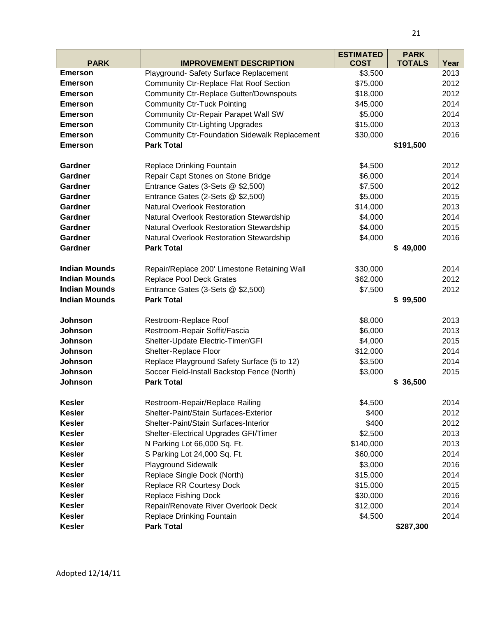|                      |                                                      | <b>ESTIMATED</b> | <b>PARK</b>   |      |
|----------------------|------------------------------------------------------|------------------|---------------|------|
| <b>PARK</b>          | <b>IMPROVEMENT DESCRIPTION</b>                       | <b>COST</b>      | <b>TOTALS</b> | Year |
| <b>Emerson</b>       | Playground- Safety Surface Replacement               | \$3,500          |               | 2013 |
| <b>Emerson</b>       | <b>Community Ctr-Replace Flat Roof Section</b>       | \$75,000         |               | 2012 |
| <b>Emerson</b>       | <b>Community Ctr-Replace Gutter/Downspouts</b>       | \$18,000         |               | 2012 |
| <b>Emerson</b>       | <b>Community Ctr-Tuck Pointing</b>                   | \$45,000         |               | 2014 |
| <b>Emerson</b>       | <b>Community Ctr-Repair Parapet Wall SW</b>          | \$5,000          |               | 2014 |
| <b>Emerson</b>       | <b>Community Ctr-Lighting Upgrades</b>               | \$15,000         |               | 2013 |
| <b>Emerson</b>       | <b>Community Ctr-Foundation Sidewalk Replacement</b> | \$30,000         |               | 2016 |
| <b>Emerson</b>       | <b>Park Total</b>                                    |                  | \$191,500     |      |
| Gardner              | <b>Replace Drinking Fountain</b>                     | \$4,500          |               | 2012 |
| <b>Gardner</b>       | Repair Capt Stones on Stone Bridge                   | \$6,000          |               | 2014 |
| Gardner              | Entrance Gates (3-Sets @ \$2,500)                    | \$7,500          |               | 2012 |
| Gardner              | Entrance Gates (2-Sets @ \$2,500)                    | \$5,000          |               | 2015 |
| Gardner              | <b>Natural Overlook Restoration</b>                  | \$14,000         |               | 2013 |
| <b>Gardner</b>       | Natural Overlook Restoration Stewardship             | \$4,000          |               | 2014 |
| Gardner              | Natural Overlook Restoration Stewardship             | \$4,000          |               | 2015 |
| Gardner              | Natural Overlook Restoration Stewardship             | \$4,000          |               | 2016 |
| Gardner              | <b>Park Total</b>                                    |                  | \$49,000      |      |
| <b>Indian Mounds</b> | Repair/Replace 200' Limestone Retaining Wall         | \$30,000         |               | 2014 |
| <b>Indian Mounds</b> | <b>Replace Pool Deck Grates</b>                      | \$62,000         |               | 2012 |
| <b>Indian Mounds</b> | Entrance Gates (3-Sets @ \$2,500)                    | \$7,500          |               | 2012 |
| <b>Indian Mounds</b> | <b>Park Total</b>                                    |                  | \$99,500      |      |
| Johnson              | Restroom-Replace Roof                                | \$8,000          |               | 2013 |
| Johnson              | Restroom-Repair Soffit/Fascia                        | \$6,000          |               | 2013 |
| Johnson              | Shelter-Update Electric-Timer/GFI                    | \$4,000          |               | 2015 |
| Johnson              | Shelter-Replace Floor                                | \$12,000         |               | 2014 |
| Johnson              | Replace Playground Safety Surface (5 to 12)          | \$3,500          |               | 2014 |
| Johnson              | Soccer Field-Install Backstop Fence (North)          | \$3,000          |               | 2015 |
| Johnson              | <b>Park Total</b>                                    |                  | \$36,500      |      |
| <b>Kesler</b>        | Restroom-Repair/Replace Railing                      | \$4,500          |               | 2014 |
| <b>Kesler</b>        | Shelter-Paint/Stain Surfaces-Exterior                | \$400            |               | 2012 |
| <b>Kesler</b>        | Shelter-Paint/Stain Surfaces-Interior                | \$400            |               | 2012 |
| <b>Kesler</b>        | Shelter-Electrical Upgrades GFI/Timer                | \$2,500          |               | 2013 |
| <b>Kesler</b>        | N Parking Lot 66,000 Sq. Ft.                         | \$140,000        |               | 2013 |
| <b>Kesler</b>        | S Parking Lot 24,000 Sq. Ft.                         | \$60,000         |               | 2014 |
| <b>Kesler</b>        | <b>Playground Sidewalk</b>                           | \$3,000          |               | 2016 |
| <b>Kesler</b>        | Replace Single Dock (North)                          | \$15,000         |               | 2014 |
| <b>Kesler</b>        | <b>Replace RR Courtesy Dock</b>                      | \$15,000         |               | 2015 |
| <b>Kesler</b>        | Replace Fishing Dock                                 | \$30,000         |               | 2016 |
| <b>Kesler</b>        | Repair/Renovate River Overlook Deck                  | \$12,000         |               | 2014 |
| <b>Kesler</b>        | Replace Drinking Fountain                            | \$4,500          |               | 2014 |
| <b>Kesler</b>        | <b>Park Total</b>                                    |                  | \$287,300     |      |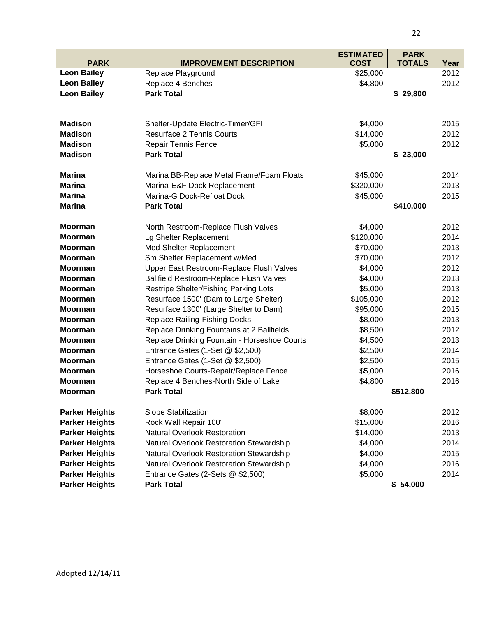|                       |                                              | <b>ESTIMATED</b> | <b>PARK</b>   |      |
|-----------------------|----------------------------------------------|------------------|---------------|------|
| <b>PARK</b>           | <b>IMPROVEMENT DESCRIPTION</b>               | <b>COST</b>      | <b>TOTALS</b> | Year |
| <b>Leon Bailey</b>    | Replace Playground                           | \$25,000         |               | 2012 |
| <b>Leon Bailey</b>    | Replace 4 Benches                            | \$4,800          |               | 2012 |
| <b>Leon Bailey</b>    | <b>Park Total</b>                            |                  | \$29,800      |      |
|                       |                                              |                  |               |      |
|                       |                                              |                  |               |      |
| <b>Madison</b>        | Shelter-Update Electric-Timer/GFI            | \$4,000          |               | 2015 |
| <b>Madison</b>        | <b>Resurface 2 Tennis Courts</b>             | \$14,000         |               | 2012 |
| <b>Madison</b>        | <b>Repair Tennis Fence</b>                   | \$5,000          |               | 2012 |
| <b>Madison</b>        | <b>Park Total</b>                            |                  | \$23,000      |      |
| <b>Marina</b>         | Marina BB-Replace Metal Frame/Foam Floats    | \$45,000         |               | 2014 |
| <b>Marina</b>         | Marina-E&F Dock Replacement                  | \$320,000        |               | 2013 |
| <b>Marina</b>         | Marina-G Dock-Refloat Dock                   | \$45,000         |               | 2015 |
| <b>Marina</b>         | <b>Park Total</b>                            |                  | \$410,000     |      |
| <b>Moorman</b>        | North Restroom-Replace Flush Valves          | \$4,000          |               | 2012 |
| <b>Moorman</b>        | Lg Shelter Replacement                       | \$120,000        |               | 2014 |
| <b>Moorman</b>        | Med Shelter Replacement                      | \$70,000         |               | 2013 |
| <b>Moorman</b>        | Sm Shelter Replacement w/Med                 | \$70,000         |               | 2012 |
| <b>Moorman</b>        | Upper East Restroom-Replace Flush Valves     | \$4,000          |               | 2012 |
| <b>Moorman</b>        | Ballfield Restroom-Replace Flush Valves      | \$4,000          |               | 2013 |
| <b>Moorman</b>        | Restripe Shelter/Fishing Parking Lots        | \$5,000          |               | 2013 |
| <b>Moorman</b>        | Resurface 1500' (Dam to Large Shelter)       | \$105,000        |               | 2012 |
| <b>Moorman</b>        | Resurface 1300' (Large Shelter to Dam)       | \$95,000         |               | 2015 |
| <b>Moorman</b>        | <b>Replace Railing-Fishing Docks</b>         | \$8,000          |               | 2013 |
| <b>Moorman</b>        | Replace Drinking Fountains at 2 Ballfields   | \$8,500          |               | 2012 |
| <b>Moorman</b>        | Replace Drinking Fountain - Horseshoe Courts | \$4,500          |               | 2013 |
| <b>Moorman</b>        | Entrance Gates (1-Set @ \$2,500)             | \$2,500          |               | 2014 |
| <b>Moorman</b>        | Entrance Gates (1-Set @ \$2,500)             | \$2,500          |               | 2015 |
| <b>Moorman</b>        | Horseshoe Courts-Repair/Replace Fence        | \$5,000          |               | 2016 |
| <b>Moorman</b>        | Replace 4 Benches-North Side of Lake         | \$4,800          |               | 2016 |
| Moorman               | <b>Park Total</b>                            |                  | \$512,800     |      |
| <b>Parker Heights</b> | Slope Stabilization                          | \$8,000          |               | 2012 |
| <b>Parker Heights</b> | Rock Wall Repair 100'                        | \$15,000         |               | 2016 |
| <b>Parker Heights</b> | <b>Natural Overlook Restoration</b>          | \$14,000         |               | 2013 |
| <b>Parker Heights</b> | Natural Overlook Restoration Stewardship     | \$4,000          |               | 2014 |
| <b>Parker Heights</b> | Natural Overlook Restoration Stewardship     | \$4,000          |               | 2015 |
| <b>Parker Heights</b> | Natural Overlook Restoration Stewardship     | \$4,000          |               | 2016 |
| <b>Parker Heights</b> | Entrance Gates (2-Sets @ \$2,500)            | \$5,000          |               | 2014 |
| <b>Parker Heights</b> | <b>Park Total</b>                            |                  | \$54,000      |      |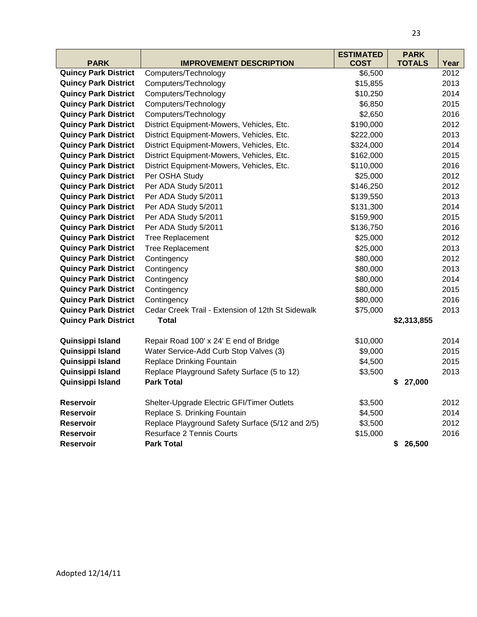|                             |                                                   | <b>ESTIMATED</b> | <b>PARK</b>   |      |
|-----------------------------|---------------------------------------------------|------------------|---------------|------|
| <b>PARK</b>                 | <b>IMPROVEMENT DESCRIPTION</b>                    | <b>COST</b>      | <b>TOTALS</b> | Year |
| <b>Quincy Park District</b> | Computers/Technology                              | \$6,500          |               | 2012 |
| <b>Quincy Park District</b> | Computers/Technology                              | \$15,855         |               | 2013 |
| <b>Quincy Park District</b> | Computers/Technology                              | \$10,250         |               | 2014 |
| <b>Quincy Park District</b> | Computers/Technology                              | \$6,850          |               | 2015 |
| <b>Quincy Park District</b> | Computers/Technology                              | \$2,650          |               | 2016 |
| <b>Quincy Park District</b> | District Equipment-Mowers, Vehicles, Etc.         | \$190,000        |               | 2012 |
| <b>Quincy Park District</b> | District Equipment-Mowers, Vehicles, Etc.         | \$222,000        |               | 2013 |
| <b>Quincy Park District</b> | District Equipment-Mowers, Vehicles, Etc.         | \$324,000        |               | 2014 |
| <b>Quincy Park District</b> | District Equipment-Mowers, Vehicles, Etc.         | \$162,000        |               | 2015 |
| <b>Quincy Park District</b> | District Equipment-Mowers, Vehicles, Etc.         | \$110,000        |               | 2016 |
| <b>Quincy Park District</b> | Per OSHA Study                                    | \$25,000         |               | 2012 |
| <b>Quincy Park District</b> | Per ADA Study 5/2011                              | \$146,250        |               | 2012 |
| <b>Quincy Park District</b> | Per ADA Study 5/2011                              | \$139,550        |               | 2013 |
| <b>Quincy Park District</b> | Per ADA Study 5/2011                              | \$131,300        |               | 2014 |
| <b>Quincy Park District</b> | Per ADA Study 5/2011                              | \$159,900        |               | 2015 |
| <b>Quincy Park District</b> | Per ADA Study 5/2011                              | \$136,750        |               | 2016 |
| <b>Quincy Park District</b> | <b>Tree Replacement</b>                           | \$25,000         |               | 2012 |
| <b>Quincy Park District</b> | <b>Tree Replacement</b>                           | \$25,000         |               | 2013 |
| <b>Quincy Park District</b> | Contingency                                       | \$80,000         |               | 2012 |
| <b>Quincy Park District</b> | Contingency                                       | \$80,000         |               | 2013 |
| <b>Quincy Park District</b> | Contingency                                       | \$80,000         |               | 2014 |
| <b>Quincy Park District</b> | Contingency                                       | \$80,000         |               | 2015 |
| <b>Quincy Park District</b> | Contingency                                       | \$80,000         |               | 2016 |
| <b>Quincy Park District</b> | Cedar Creek Trail - Extension of 12th St Sidewalk | \$75,000         |               | 2013 |
| <b>Quincy Park District</b> | <b>Total</b>                                      |                  | \$2,313,855   |      |
| Quinsippi Island            | Repair Road 100' x 24' E end of Bridge            | \$10,000         |               | 2014 |
| Quinsippi Island            | Water Service-Add Curb Stop Valves (3)            | \$9,000          |               | 2015 |
| Quinsippi Island            | <b>Replace Drinking Fountain</b>                  | \$4,500          |               | 2015 |
| Quinsippi Island            | Replace Playground Safety Surface (5 to 12)       | \$3,500          |               | 2013 |
| Quinsippi Island            | <b>Park Total</b>                                 |                  | 27,000<br>\$  |      |
|                             |                                                   |                  |               |      |
| <b>Reservoir</b>            | Shelter-Upgrade Electric GFI/Timer Outlets        | \$3,500          |               | 2012 |
| <b>Reservoir</b>            | Replace S. Drinking Fountain                      | \$4,500          |               | 2014 |
| <b>Reservoir</b>            | Replace Playground Safety Surface (5/12 and 2/5)  | \$3,500          |               | 2012 |
| <b>Reservoir</b>            | Resurface 2 Tennis Courts                         | \$15,000         |               | 2016 |
| <b>Reservoir</b>            | <b>Park Total</b>                                 |                  | 26,500<br>\$  |      |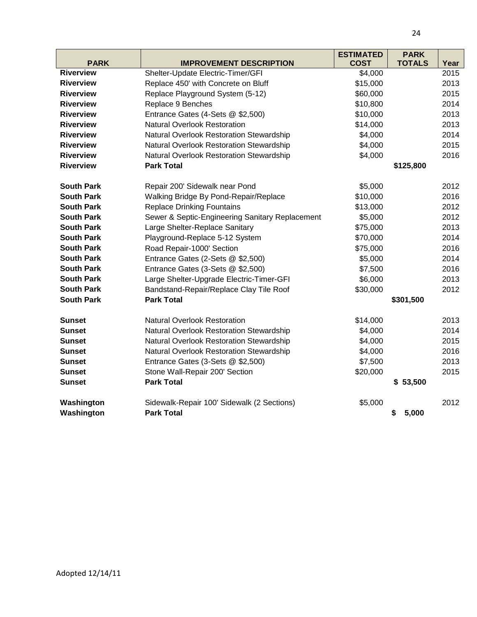| <b>PARK</b>       | <b>IMPROVEMENT DESCRIPTION</b>                  | <b>ESTIMATED</b><br><b>COST</b> | <b>PARK</b><br><b>TOTALS</b> | Year |
|-------------------|-------------------------------------------------|---------------------------------|------------------------------|------|
| <b>Riverview</b>  | Shelter-Update Electric-Timer/GFI               | \$4,000                         |                              | 2015 |
| <b>Riverview</b>  | Replace 450' with Concrete on Bluff             | \$15,000                        |                              | 2013 |
| <b>Riverview</b>  | Replace Playground System (5-12)                | \$60,000                        |                              | 2015 |
| <b>Riverview</b>  | Replace 9 Benches                               | \$10,800                        |                              | 2014 |
| <b>Riverview</b>  | Entrance Gates (4-Sets @ \$2,500)               | \$10,000                        |                              | 2013 |
| <b>Riverview</b>  | <b>Natural Overlook Restoration</b>             | \$14,000                        |                              | 2013 |
| <b>Riverview</b>  | Natural Overlook Restoration Stewardship        | \$4,000                         |                              | 2014 |
| <b>Riverview</b>  | Natural Overlook Restoration Stewardship        | \$4,000                         |                              | 2015 |
| <b>Riverview</b>  | Natural Overlook Restoration Stewardship        | \$4,000                         |                              | 2016 |
| <b>Riverview</b>  | <b>Park Total</b>                               |                                 | \$125,800                    |      |
| <b>South Park</b> | Repair 200' Sidewalk near Pond                  | \$5,000                         |                              | 2012 |
| <b>South Park</b> | Walking Bridge By Pond-Repair/Replace           | \$10,000                        |                              | 2016 |
| <b>South Park</b> | <b>Replace Drinking Fountains</b>               | \$13,000                        |                              | 2012 |
| <b>South Park</b> | Sewer & Septic-Engineering Sanitary Replacement | \$5,000                         |                              | 2012 |
| <b>South Park</b> | Large Shelter-Replace Sanitary                  | \$75,000                        |                              | 2013 |
| <b>South Park</b> | Playground-Replace 5-12 System                  | \$70,000                        |                              | 2014 |
| <b>South Park</b> | Road Repair-1000' Section                       | \$75,000                        |                              | 2016 |
| <b>South Park</b> | Entrance Gates (2-Sets @ \$2,500)               | \$5,000                         |                              | 2014 |
| <b>South Park</b> | Entrance Gates (3-Sets @ \$2,500)               | \$7,500                         |                              | 2016 |
| <b>South Park</b> | Large Shelter-Upgrade Electric-Timer-GFI        | \$6,000                         |                              | 2013 |
| <b>South Park</b> | Bandstand-Repair/Replace Clay Tile Roof         | \$30,000                        |                              | 2012 |
| <b>South Park</b> | <b>Park Total</b>                               |                                 | \$301,500                    |      |
| <b>Sunset</b>     | <b>Natural Overlook Restoration</b>             | \$14,000                        |                              | 2013 |
| <b>Sunset</b>     | Natural Overlook Restoration Stewardship        | \$4,000                         |                              | 2014 |
| <b>Sunset</b>     | Natural Overlook Restoration Stewardship        | \$4,000                         |                              | 2015 |
| <b>Sunset</b>     | Natural Overlook Restoration Stewardship        | \$4,000                         |                              | 2016 |
| <b>Sunset</b>     | Entrance Gates (3-Sets @ \$2,500)               | \$7,500                         |                              | 2013 |
| <b>Sunset</b>     | Stone Wall-Repair 200' Section                  | \$20,000                        |                              | 2015 |
| <b>Sunset</b>     | <b>Park Total</b>                               |                                 | \$53,500                     |      |
| Washington        | Sidewalk-Repair 100' Sidewalk (2 Sections)      | \$5,000                         |                              | 2012 |
| Washington        | <b>Park Total</b>                               |                                 | 5,000<br>\$                  |      |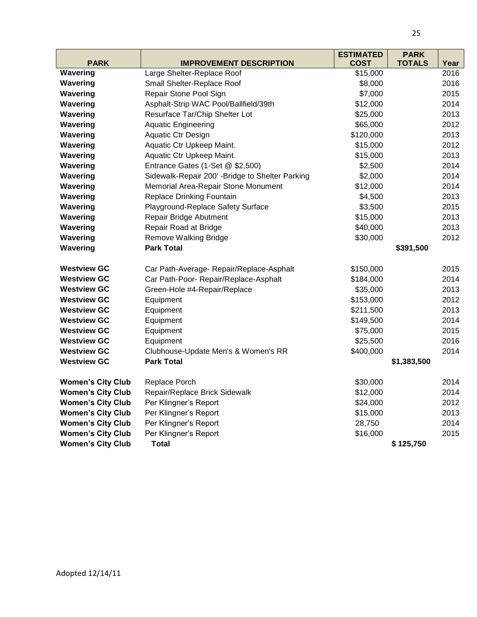|                          |                                                 | <b>ESTIMATED</b> | <b>PARK</b>   |      |
|--------------------------|-------------------------------------------------|------------------|---------------|------|
| <b>PARK</b>              | <b>IMPROVEMENT DESCRIPTION</b>                  | <b>COST</b>      | <b>TOTALS</b> | Year |
| Wavering                 | Large Shelter-Replace Roof                      | \$15,000         |               | 2016 |
| Wavering                 | Small Shelter-Replace Roof                      | \$8,000          |               | 2016 |
| Wavering                 | Repair Stone Pool Sign                          | \$7,000          |               | 2015 |
| Wavering                 | Asphalt-Strip WAC Pool/Ballfield/39th           | \$12,000         |               | 2014 |
| Wavering                 | Resurface Tar/Chip Shelter Lot                  | \$25,000         |               | 2013 |
| Wavering                 | <b>Aquatic Engineering</b>                      | \$65,000         |               | 2012 |
| Wavering                 | Aquatic Ctr Design                              | \$120,000        |               | 2013 |
| Wavering                 | Aquatic Ctr Upkeep Maint.                       | \$15,000         |               | 2012 |
| Wavering                 | Aquatic Ctr Upkeep Maint.                       | \$15,000         |               | 2013 |
| Wavering                 | Entrance Gates (1-Set @ \$2,500)                | \$2,500          |               | 2014 |
| Wavering                 | Sidewalk-Repair 200' -Bridge to Shelter Parking | \$2,000          |               | 2014 |
| Wavering                 | Memorial Area-Repair Stone Monument             | \$12,000         |               | 2014 |
| Wavering                 | <b>Replace Drinking Fountain</b>                | \$4,500          |               | 2013 |
| Wavering                 | Playground-Replace Safety Surface               | \$3,500          |               | 2015 |
| Wavering                 | Repair Bridge Abutment                          | \$15,000         |               | 2013 |
| Wavering                 | Repair Road at Bridge                           | \$40,000         |               | 2013 |
| Wavering                 | <b>Remove Walking Bridge</b>                    | \$30,000         |               | 2012 |
| Wavering                 | <b>Park Total</b>                               |                  | \$391,500     |      |
| <b>Westview GC</b>       | Car Path-Average- Repair/Replace-Asphalt        | \$150,000        |               | 2015 |
| <b>Westview GC</b>       | Car Path-Poor- Repair/Replace-Asphalt           | \$184,000        |               | 2014 |
| <b>Westview GC</b>       | Green-Hole #4-Repair/Replace                    | \$35,000         |               | 2013 |
| <b>Westview GC</b>       | Equipment                                       | \$153,000        |               | 2012 |
| <b>Westview GC</b>       | Equipment                                       | \$211,500        |               | 2013 |
| <b>Westview GC</b>       | Equipment                                       | \$149,500        |               | 2014 |
| <b>Westview GC</b>       | Equipment                                       | \$75,000         |               | 2015 |
| <b>Westview GC</b>       | Equipment                                       | \$25,500         |               | 2016 |
| <b>Westview GC</b>       | Clubhouse-Update Men's & Women's RR             | \$400,000        |               | 2014 |
| <b>Westview GC</b>       | <b>Park Total</b>                               |                  | \$1,383,500   |      |
| <b>Women's City Club</b> | Replace Porch                                   | \$30,000         |               | 2014 |
| <b>Women's City Club</b> | Repair/Replace Brick Sidewalk                   | \$12,000         |               | 2014 |
| <b>Women's City Club</b> | Per Klingner's Report                           | \$24,000         |               | 2012 |
| <b>Women's City Club</b> | Per Klingner's Report                           | \$15,000         |               | 2013 |
| <b>Women's City Club</b> | Per Klingner's Report                           | 28,750           |               | 2014 |
| <b>Women's City Club</b> | Per Klingner's Report                           | \$16,000         |               | 2015 |
| <b>Women's City Club</b> | <b>Total</b>                                    |                  | \$125,750     |      |
|                          |                                                 |                  |               |      |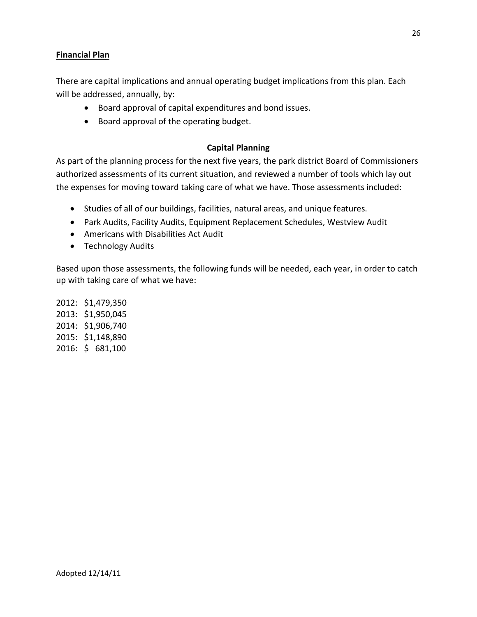### **Financial Plan**

There are capital implications and annual operating budget implications from this plan. Each will be addressed, annually, by:

- Board approval of capital expenditures and bond issues.
- Board approval of the operating budget.

#### **Capital Planning**

As part of the planning process for the next five years, the park district Board of Commissioners authorized assessments of its current situation, and reviewed a number of tools which lay out the expenses for moving toward taking care of what we have. Those assessments included:

- Studies of all of our buildings, facilities, natural areas, and unique features.
- Park Audits, Facility Audits, Equipment Replacement Schedules, Westview Audit
- Americans with Disabilities Act Audit
- Technology Audits

Based upon those assessments, the following funds will be needed, each year, in order to catch up with taking care of what we have:

2012: \$1,479,350 2013: \$1,950,045 2014: \$1,906,740 2015: \$1,148,890 2016: \$ 681,100